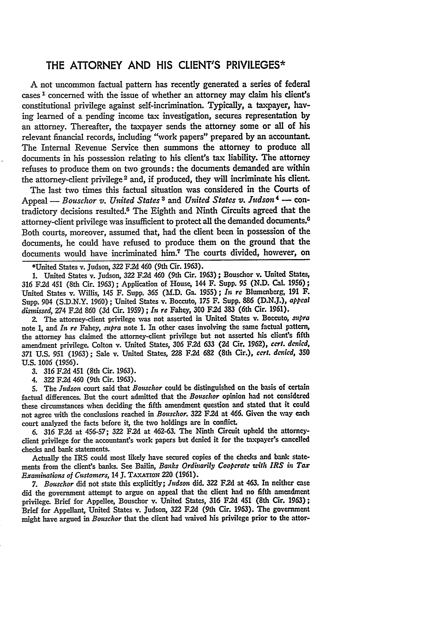## THE ATTORNEY **AND HIS CLIENT'S** PRIVILEGES\*

**A** not uncommon factual pattern has recently generated a series of federal cases 1 concerned with the issue of whether an attorney may claim his client's constitutional privilege against self-incrimination. Typically, a taxpayer, having learned of a pending income tax investigation, secures representation **by** an attorney. Thereafter, the taxpayer sends the attorney some or all of his relevant financial records, including "work papers" prepared **by** an accountant. The Internal Revenue Service then summons the attorney to produce all documents in his possession relating to his client's tax liability. The attorney refuses to produce them on two grounds: the documents demanded are within the attorney-client privilege 2 and, if produced, they **will** incriminate his client.

The last two times this factual situation was considered in the Courts of Appeal - *Bouschor v. United States 3* and *United States v. Judson4* **-** contradictory decisions resulted.5 The Eighth and Ninth Circuits agreed that the attorney-client privilege was insufficient to protect all the demanded documents.<sup>0</sup> Both courts, moreover, assumed that, had the client been in possession of the documents, he could have refused to produce them on the ground that the documents would have incriminated him.7 The courts divided, however, on

\*United States v. Judson, **322** F.2d 460 (9th Cir. 1963).

**1.** United States v. Judson, *322* **F.2d** 460 (9th Cir. 1963) **;** Bouschor **v.** United States, **316 F.2d** 451 (8th Cir. **1963) ;** Application of House, 144 F. Supp. **95 (N.D.** Cal. **1956) ;** United States v. Willis, 145 F. Supp. **365** (LD. Ga. **1955);** *In re* Blumenberg, **191** F. Supp. 904 **(S.D.N.Y. 1960);** United States v. Boccuto, **175** F. Supp. **886 (D.N.J.),** *appeal disnnissed, 274* **F.2d 860 (3d** Cir. **1959) ;** *In re* Fahey, **300 F.2d 383** (6th Cir. **1961).**

2. The attorney-client privilege was not asserted in United States v. Boccuto, *supra* note **1,** and *In re* Fahey, *supra* note **1.** In other cases involving the same factual pattern, the attorney has claimed the attorney-client privilege but not asserted his client's fifth amendment privilege. Colton v. United States, **306 F.2d 633 (2d** Cir. **1962),** *cert. denied,* **371** U.S. *951 (1963);* Sale v. United States, **228 F.2d 682** (8th Cir.), *cert. denied,* **350** U.S. **1006** (1956).

- *3.* 316 **F.2d** 451 (8th Cir. **1963).**
- 4. 322 **F.2d** 460 (9th Cir. 1963).

5. The *Judson* court said that *Bouschor* could be distinguished on the basis of **certain** factual differences. But the court admitted that the *Bouschor* opinion had not considered these circumstances when deciding the fifth amendment question and stated that it could not agree with the conclusions reached in *Bouschor.* **322 F.2d** at 466. Given the **way** each court analyzed the facts before it, the two holdings are in conflict.

*6. 316* **F.2d** at **456-57; 322 F.2d** at **462-63.** The Ninth Circuit upheld the attorneyclient privilege for the accountant's work papers but denied it for the taxpayer's cancelled checks and bank statements.

Actually the IRS could most likely have secured copies of the checks and bank statements from the client's banks. See Bailin, *Banks Ordinarily Cooperate uith IRS in Tax Examinations of Customers,* 14 **J.** TAxATioN 220 (1961).

*7. Bouschor* did not state this explicitly; *Judson* did. **322 F.2d** at 463. In neither case did the government attempt to argue on appeal that the client had no fifth amendment privilege. Brief for Appellee, Bouschor v. United States, **316 F.2d** 451 (8th Cir. 1963); Brief for Appellant, United States v. Judson, **322 F.2d** (9th Cir. **1963).** The government might have argued in *Bouschor* that the client had waived his privilege prior to the attor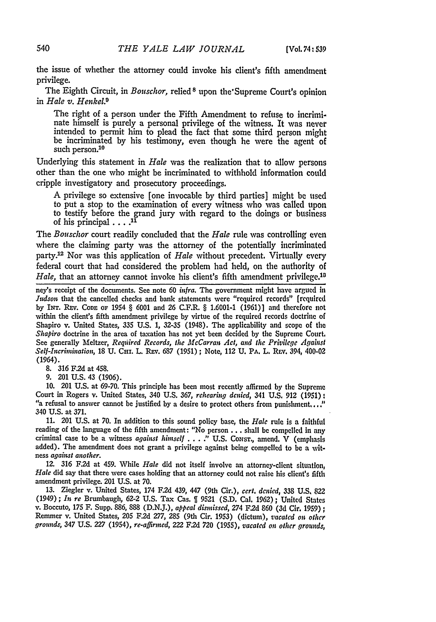the issue of whether the attorney could invoke his client's fifth amendment privilege.

The Eighth Circuit, in *Bouschor,* relied **<sup>8</sup>**upon the'Supreme Court's opinion in *Hale v. Henkel9*

The right of a person under the Fifth Amendment to refuse to incriminate himself is purely a personal privilege of the witness. It was never intended to permit him to plead the fact that some third person might be incriminated by his testimony, even though he were the agent of such person.<sup>10</sup>

Underlying this statement in *Hale* was the realization that to allow persons other than the one who might be incriminated to withhold information could cripple investigatory and prosecutory proceedings.

A privilege so extensive [one invocable by third parties] might be used to put a stop to the examination of every witness who was called upon to testify before the grand jury with regard to the doings or business of his principal  $\ldots$ <sup>11</sup>

The *Bouschor* court readily concluded that the *Hale* rule was controlling even where the claiming party was the attorney of the potentially incriminated party.<sup>12</sup> Nor was this application of *Hale* without precedent. Virtually every federal court that had considered the problem had held, on the authority of *Hale,* that an attorney cannot invoke his client's fifth amendment privilege.<sup>18</sup>

ney's receipt of the documents. See note **60** *infra.* The government might have argued **in** *Judson* that the cancelled checks and bank statements were "required records" (required by **INT.** REv. **CODE OF** 1954 § 6001 and 26 C.F.R. § 1.6001-1 (1961)] and therefore not within the client's fifth amendment privilege **by** virtue of the required records doctrine of Shapiro v. United States, **335** U.S. 1, **32-35** (1948). The applicability and scope of the *Shapiro* doctrine in the area of taxation has not yet been decided **by** the Supreme Court. See generally Meltzer, *Required Records, the McCarran Act, and the Privilege Againist Self-Incrimnhation,* 18 U. Cli. L. **REv.** 687 (1951); Note, 112 U. **PA.** L. REv. 394, 400-02 (1964).

- **8. 316 F2d** at 458.
- 9. 201 U.S. 43 (1906).

10. 201 U.S. at 69-70. This principle has been most recently affirmed by the Supreme Court in Rogers v. United States, 340 U.S. 367, *rehearing denied,* 341 **U.S.** 912 (1951): "a refusal to answer cannot be justified by a desire to protect others from punishment...." 340 U.S. at 371.

**11.** 201 U.S. at 70. In addition to this sound policy base, the *Hale* rule is a faithful reading of the language of the fifth amendment: "No person **...** shall be compelled in any criminal case to be a witness *against himself* **. . .** *."* **U.S.** ConsT., amend. V (emphasis added). The amendment does not grant a privilege against being compelled to **be** a wit ness *against another.*

12. **316** F.2d at 459. While *Hale* did not itself involve an attorney-client situation, *Hale* did say that there were cases holding that an attorney could not raise his client's fifth amendment privilege. 201 U.S. at 70.

**13.** Ziegler v. United States, 174 **F.2d** 439, 447 (9th Cir.), *cert. denied,* **338 U.S, 822** (1949); *In re* Brumbaugh, **62-2** U.S. Tax Cas. 1 9521 (S.D. Cal. 1962); United States v. Boccuto, **175** F. Supp. 886, 888 (D.N.J.), *appeal disnissed,* 274 **F.2d** 860 (3d Cir. 1959) **;** Remmer v. United States, **205** F.2d 277, **285** (9th Cir. 1953) (dictum), *vacated on other grounds, 347* U.S. **227** (1954), *re-affirmed,* 222 F.2d 720 (1955), *vacated on other grounds,*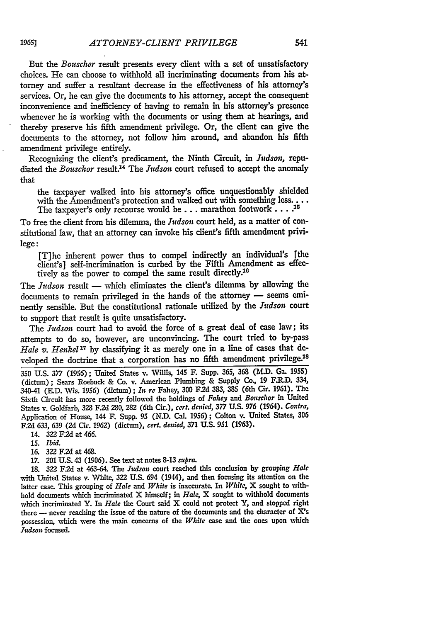But the *Bouscher* result presents every client with a set of unsatisfactory choices. He can choose to withhold all incriminating documents from his attorney and suffer a resultant decrease in the effectiveness of his attorney's services. Or, he can give the documents to his attorney, accept the consequent inconvenience and inefficiency of having to remain in his attorney's presence whenever he is working with the documents or using them at hearings, and thereby preserve his fifth amendment privilege. Or, the client can give the documents to the attorney, not follow him around, and abandon his fifth amendment privilege entirely.

Recognizing the client's predicament, the Ninth Circuit, in *Judson,* repudiated the *Bouschor* result.<sup>14</sup> The *Judson* court refused to accept the anomaly that

the taxpayer walked into his attorney's office unquestionably shielded with the Amendment's protection and walked out with something less. . . . The taxpayer's only recourse would be... marathon footwork....<sup>15</sup>

To free the client from his dilemma, the *Judson* court held, as a matter of constitutional law, that an attorney can invoke his client's fifth amendment privilege:

[T]he inherent power thus to compel indirectly an individual's [the client's] self-incrimination is curbed by the Fifth Amendment as effectively as the power to compel the same result directly.<sup>10</sup>

The *Judson* result **-** which eliminates the client's dilemma by allowing the documents to remain privileged in the hands of the attorney - seems eminently sensible. But the constitutional rationale utilized by the *Judson* court to support that result is quite unsatisfactory.

The *Judson* court had to avoid the force of a great deal of case law; its attempts to do so, however, are unconvincing. The court tried to by-pass Hale v. Henkel<sup>17</sup> by classifying it as merely one in a line of cases that developed the doctrine that a corporation has no fifth amendment privilege.<sup>18</sup>

**350 U.S.** *377* (1956); United States v. Willis, 145 F. Supp. 365, **368 (M.D.** Ga. **1955)** (dictum); Sears Roebuck & Co. v. American Plumbing & Supply Co, 19 F.R.D. 334, 340-41 (E.D. Wis. 1956) (dictum); *In re* Fahey, **300 F.2d** 383, 385 (6th Cir. 1961). The Sixth Circuit has more recently followed the holdings of *Fahey and Bouichor* in United States v. Goldfarb, **328 F.2d 280,** 282 (6th Cir.), *cert. denied,* **377 U.S. 976** (1964). *Contra,* Application of House, 144 F. Supp. **95 (N.D.** Cal. **1956);** Colton v. United States, **306 F.2d 633, 639 (2d** Cir. **1962)** (dictum), *cert. denied,* 371 **U.S. 951 (1963).**

14. **322 F.2d** at 466.

**15.** *Ibid.*

**16. 322 F.2d** at 468.

17. 201 U.S. 43 (1906). See text at notes 8-13 *supra.*

**18.** 322 **F.2d** at 463-64. The *Judson* court reached this conclusion **by** grouping *Hale* with United States v. White, 322 **U.S.** 694 (1944), and then focusing its attention on the latter case. This grouping of *Hale and White* is inaccurate. In *White,* X sought to withhold documents which incriminated X himself; in *Hale,* X sought to withhold documents which incriminated Y. In *Hale* the Court said X could not protect Y, and stopped right there **-** never reaching the issue of the nature of the documents and the character of X's possession, which were the main concerns of the *White* case and the ones upon which Judson focused.

**1965]**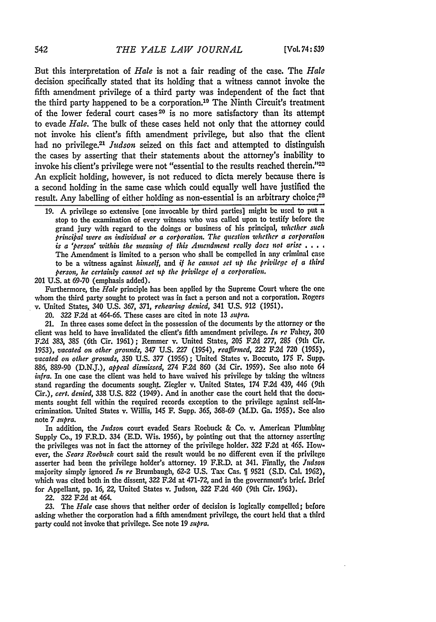But this interpretation of *Hale* is not a fair reading of the case. The *Hale* decision specifically stated that its holding that a witness cannot invoke the fifth amendment privilege of a third party was independent of the fact that the third party happened to be a corporation.<sup>19</sup> The Ninth Circuit's treatment of the lower federal court cases 20 is no more satisfactory than its attempt to evade *Hale.* The bulk of these cases held not only that the attorney could not invoke his client's fifth amendment privilege, but also that the client had no privilege.21 *Judson* seized on this fact and attempted to distinguish the cases by asserting that their statements about the attorney's inability to invoke his client's privilege were not "essential to the results reached therein."<sup>22</sup> An explicit holding, however, is not reduced to dicta merely because there is a second holding in the same case which could equally well have justified the result. Any labelling of either holding as non-essential is an arbitrary choice **;23**

201 U.S. at 69-70 (emphasis added).

Furthermore, the *Hale* principle has been applied **by** the Supreme Court where the one whom the third party sought to protect was in fact a person and not a corporation. Rogers v. United States, 340 U.S. 367, *371, rehearing denied,* 341 U.S. 912 (1951).

20. 322 F.2d at 464-66. These cases are cited in note 13 *supra.*

21. In three cases some defect in the possession of the documents **by** the attorney or the client was held to have invalidated the client's fifth amendment privilege. *In re* Fahey, **300 F.2d** 383, **385** (6th Cir. 1961); Remmer v. United States, **205** F.2d **277, 285** (9th Cir. 1953), *vacated on other grounds,* 347 U.S. **227** (1954), *reaffirmed, 222* F.2d **720** (1955), *vacated on other grounds,* 350 U.S. 377 (1956) ; United States v. Boccuto, 175 F. Supp. 886, 889-90 (D.N.J.), *appeal dismissed,* 274 F.2d **860** (3d Cir. 1959). See also note 64 *infra.* In one case the client was held to have waived his privilege **by** taking the witness stand regarding the documents sought. Ziegler v. United States, 174 F.2d 439, 446 (9th Cir.), *cert. denied,* **338** U.S. 822 (1949). And in another case the court held that the documents sought fell within the required records exception to the privilege against self-incrimination. United States v. Willis, 145 F. Supp. 365, 368-69 (M.D. Ga. 1955). See also note 7 *supra.*

In addition, the *Judson* court evaded Sears Roebuck & Co. v. American Plumbing Supply Co., 19 F.R.D. 334 (E.D. Wis. 1956), **by** pointing out that the attorney asserting the privileges was not in fact the attorney of the privilege holder. **322** F.2d at 465. However, the *Sears Roebuck* court said the result would be no different even if the privilege asserter had been the privilege holder's attorney. 19 F.R.D. at 341. Finally, the *ludson* majority simply ignored *In re* Brumbaugh, **62-2** U.S. Tax Cas. 1 9521 (S.D. Cal. 1962), which was cited both in the dissent, **322** F.2d at *471-72,* and in the government's brief. Brief for Appellant, pp. 16, 22, United States v. Judson, 322 F.2d 460 (9th Cir. 1963).

22. **322 F.2d** at 464.

**23.** The *Hale* case shows that neither order of decision is logically compelled; before asking whether the corporation had a fifth amendment privilege, the court held that a third party could not invoke that privilege. See note 19 *supra.*

**<sup>19.</sup> A** privilege so extensive [one invocable by third parties] might be used to put a stop to the examination of every witness who was called upon to testify before the grand jury with regard to the doings or business of his principal, *whether such principal were an individual or a corporation. The question whether a corporation is a 'person" within the meaning of this Amendment really does not arise* **....** The Amendment is limited to a person who shall be compelled in any criminal case to be a witness against *himself, and if he cannot set up the privilege of a third person, he certainly cannot set up the privilege of a corporation.*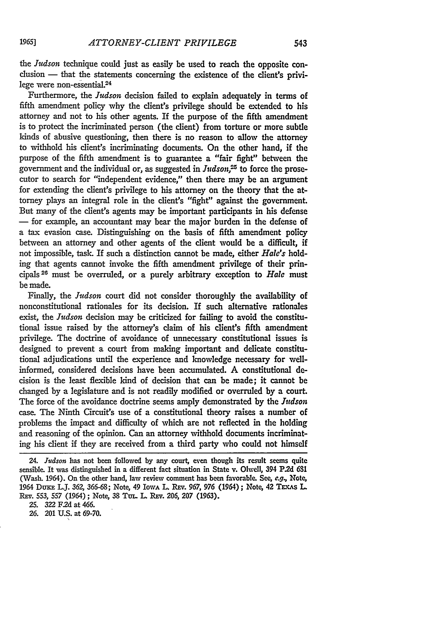the *Judson* technique could just as easily be used to reach the opposite conclusion - that the statements concerning the existence of the client's **privi**lege were non-essential.<sup>24</sup>

Furthermore, the *Judson* decision failed to explain adequately in terms of fifth amendment policy why the client's privilege should be extended to his attorney and not to his other agents. If the purpose of the fifth amendment is to protect the incriminated person (the client) from torture or more subtle kinds of abusive questioning, then there is no reason to allow the attorney to withhold his client's incriminating documents. On the other hand, if the purpose of the fifth amendment is to guarantee a "fair fight" between the government and the individual or, as suggested in *Judson*,<sup>25</sup> to force the prosecutor to search for "independent evidence," then there may be an argument for extending the client's privilege to his attorney on the theory that the attorney plays an integral role in the client's "fight" against the government. But many of the client's agents may be important participants in his defense **-** for example, an accountant may bear the major burden in the defense of a tax evasion case. Distinguishing on the basis of fifth amendment policy between an attorney and other agents of the client would be a difficult, if not impossible, task. If such a distinction cannot be made, either *Hale's* holding that agents cannot invoke the fifth amendment privilege of their principals 26 must be overruled, or a purely arbitrary exception to *Hale* must be made.

Finally, the *Judson* court did not consider thoroughly the availability of nonconstitutional rationales for its decision. If such alternative rationales exist, the *Judson* decision may be criticized for failing to avoid the constitutional issue raised by the attorney's claim of his client's fifth amendment privilege. The doctrine of avoidance of unnecessary constitutional issues is designed to prevent a court from making important and delicate constitutional adjudications until the experience and knowledge necessary for wellinformed, considered decisions have been accumulated. A constitutional decision is the least flexible kind of decision that can be made; it cannot be changed by a legislature and is not readily modified or overruled by a court. The force of the avoidance doctrine seems amply demonstrated by the *Judson* case. The Ninth Circuit's use of a constitutional theory raises a number of problems the impact and difficulty of which are not reflected in the holding and reasoning of the opinion. Can an attorney withhold documents incriminating his client if they are received from a third party who could not himself

*<sup>24.</sup> Judson* has not been followed **by** any court, even though its result seems quite sensi'ble. It was distinguished in a different fact situation in State v. Olwell, 394 **P2d 631** (Wash. 1964). On the other hand, law review comment has been favorable. **See,** *e.g,* Note, 1964 Dux L.J. **362,** 366-68; Note, 49 IowA L. REv. *967, 976* (1964) **;** Note, 42 **TEXAs** L REV. 553, 557 (1964); Note, 38 TUL. L. REV. 206, 207 (1963).

**<sup>25. 322</sup> F2d** at 466.

**<sup>26.</sup>** 201 U.S. at **69-70.**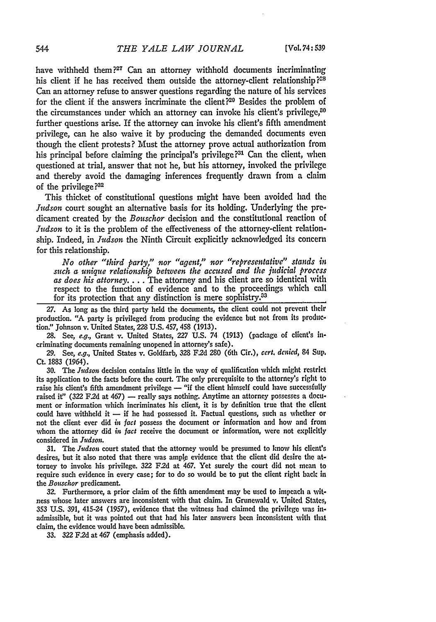have withheld them **?27** Can an attorney withhold documents incriminating his client if he has received them outside the attorney-client relationship $2^{28}$ Can an attorney refuse to answer questions regarding the nature of his services for the client if the answers incriminate the client?<sup>20</sup> Besides the problem of the circumstances under which an attorney can invoke his client's privilege, $^{50}$ further questions arise. If the attorney can invoke his client's fifth amendment privilege, can he also waive it **by** producing the demanded documents even though the client protests? Must the attorney prove actual authorization from his principal before claiming the principal's privilege **?31** Can the client, when questioned at trial, answer that not he, but his attorney, invoked the privilege and thereby avoid the damaging inferences frequently drawn from a claim of the privilege **?32**

This thicket of constitutional questions might have been avoided had the *Judson* court sought an alternative basis for its holding. Underlying the predicament created by the *Bouschor* decision and the constitutional reaction of *Judson* to it is the problem of the effectiveness of the attorney-client relationship. Indeed, in *Judson* the Ninth Circuit explicitly acknowledged its concern for this relationship.

*No other "third party," nor "agent," nor "representative" stands in such a unique relationship between the accused and the judicial process as does his attorney....* The attorney and his client are so identical with respect to the function of evidence and to the proceedings which call for its protection that any distinction is mere sophistry.<sup>33</sup>

**27.** As long as the third party held the documents, the client could not prevent their production. **"A** party is privileged from producing the evidence but not from its production!' Johnson v. United States, **228 U.S.** 457, 458 **(1913).**

**28.** See, *e.g.,* Grant v. United States, 227 **U.S.** 74 (1913) (package of client's incriminating documents remaining unopened in attorney's safe).

**29.** See, *e.g.,* United States v. Goldfarb, **328** F2d **280** (6th Cir.), *cert. denied,* 84 Sup. Ct. 1883 (1964).

**30.** The *Judson* decision contains little in the way of qualification which might restrict its application to the facts before the court. The only prerequisite to the attorney's right to raise his client's fifth amendment privilege — "if the client himself could have successfully raised it" (322 F.2d at 467) — really says nothing. Anytime an attorney possesses a document or information which incriminates his client, it is **by** definition true that the client could have withheld it **-** if he had possessed it. Factual questions, such as whether or not the client ever did *in fact* possess the document or information and how and from whom the attorney did *in fact* receive the document or information, were not explicitly considered in *Judson*.

31. The *Judson* court stated that the attorney would be presumed to know his client's desires, but it also noted that there was ample evidence that the client did desire the attorney to invoke his privilege. **322 F2d** at 467. Yet surely the court did not mean to require such evidence in every case; for to do so would be to put the client right back in *the Bouschor* predicament.

**32.** Furthermore, a prior claim of the fifth amendment may **be** used to impeach a witness whose later answers are inconsistent with that claim. In Grunewald **v,** United States, **353 U.S. 391,** 415-24 **(1957),** evidence that the witness had claimed the privilege was inadmissible, but it was pointed out that had his later answers been inconsistent with that claim, the evidence would have been admissible.

**33. 322 F.2d** at 467 (emphasis added).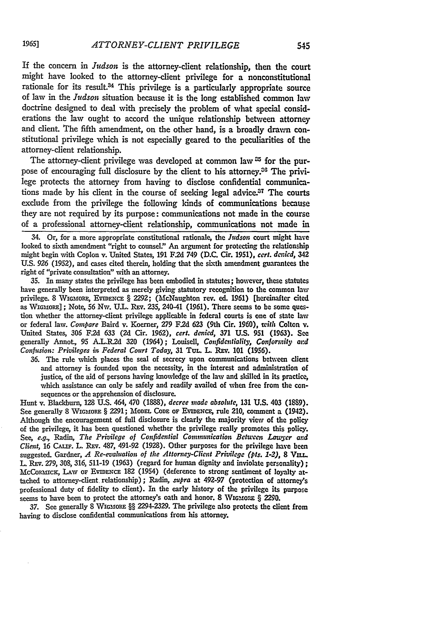If the concern in *Judson* is the attorney-client relationship, then the court might have looked to the attorney-client privilege for a nonconstitutional rationale for its result.<sup>34</sup> This privilege is a particularly appropriate source of law in the *Judson* situation because it is the long established common la, doctrine designed to deal with precisely the problem of what special considerations the law ought to accord the unique relationship between attorney and client. The fifth amendment, on the other hand, is a broadly drawn constitutional privilege which is not especially geared to the peculiarities of the attorney-client relationship.

The attorney-client privilege was developed at common law <sup>35</sup> for the purpose of encouraging full disclosure by the client to his attorney.<sup>36</sup> The privilege protects the attorney from having to disclose confidential communications made by his client in the course of seeking legal advice. $37$  The courts exclude from the privilege the following kinds of communications because they are not required by its purpose: communications not made in the course of a professional attorney-client relationship, communications not made in

34. Or, for a more appropriate constitutional rationale, the *Judson* court might have looked to sixth amendment "right to counseL" An argument for protecting the relationship might begin with Coplon v. United States, **191** F.2d 749 **(D.C.** Cir. 1951), *cert. denmied, 342* **U.S.** *926* (1952), and cases cited therein, holding that the sixth amendment guarantees the right of "private consultation" with an attorney.

**35.** In many states the privilege has been embodied in statutes; however, these statutes have generally been interpreted as merely giving statutory recognition to the common law privilege. **8** WiGmop.E, **EvrDENcE** § **2292;** (McNaughton rev. ed. **1961)** [hereinafter cited as WiGo OE] **;** Note, **56** Nw. U.L. REv. 235, 240-41 (1961). There seems to **be** some question whether the attorney-client privilege applicable in federal courts is one of state law or federal law. Compare Baird v. Koerner, 279 F.2d **623** (9th Cir. **1960),** *with* Colton v. United States, **306** F.2d **633** (2d Cir. 1962), *cert. denied,* **371 U.S. 951 (1963). See** generally Annot., **95 A.L.R.2d 320** (1964); Louisell, *Confldentlialilty, Conformity ard* Confision: *Privileges in Federal Court Today,* **31** TuL. L. **REv. 101** (1956).

**36.** The rule which places the seal of secrecy upon communications between client and attorney is founded upon the necessity, in the interest and administration of justice, of the aid of persons having knowledge **of** the law and skilled in its practice, which assistance can only be safely and readily availed of when free from the consequences or the apprehension of disclosure.

Hunt v. Blackburn, **128 U.S.** 464, 470 **(1888),** *decree made absolute,* **131 U.S.** 403 **(1889).** See generally 8 WIGMORE § 2291; MODEL CODE OF EVIDENCE, rule 210, comment a (1942). Although the encouragement of full disclosure is clearly the majority view of the policy of the privilege, it has been questioned whether the privilege really promotes this policy. See, e.g., Radin, *The Privilege of Confidential Communication Between Lawyer and Client,* **16 CAIn.** L. **REv. 487,** 491-92 **(1928).** Other purposes for the privilege have been suggested. Gardner, *A Re-evaluation of the Attorney-Client Privilege (pts. 1-2)*, 8 VII.L. L. REv. 279, 308, 316, 511-19 (1963) (regard for human dignity and inviolate personality) **;** McCoascx, **LAw** oF EvIDENCE **182** (1954) (deference to strong sentiment of loyalty attached to attorney-client relationship); Radin, *supra* at 492-97 (protection of attorney's professional duty of fidelity to client). In the early history of the privilege its purpose seems to have been to protect the attorney's oath and honor. 8 WIGMORE § 2290.

37. See generally **8** WIGMORE §§ 2294-2329. The privilege also protects the client from having to disclose confidential communications from his attorney.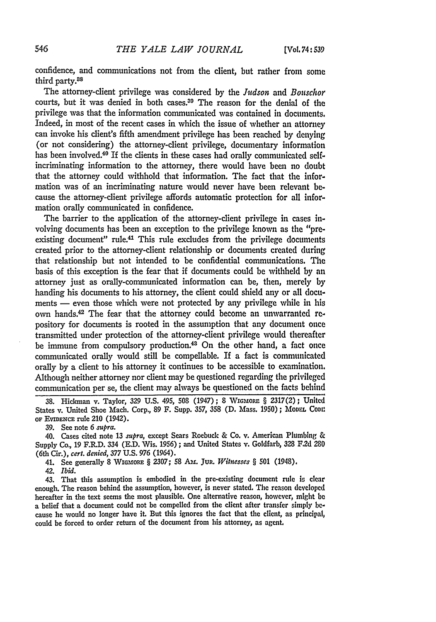confidence, and communications not from the client, but rather from some third party.88

The attorney-client privilege was considered by the *Judson* and *Bouschor* courts, but it was denied in both cases.<sup>39</sup> The reason for the denial of the privilege was that the information communicated was contained in documents. Indeed, in most of the recent cases in which the issue of whether an attorney can invoke his client's fifth amendment privilege has been reached by denying (or not considering) the attorney-client privilege, documentary information has been involved.<sup>40</sup> If the clients in these cases had orally communicated selfincriminating information to the attorney, there would have been no doubt that the attorney could withhold that information. The fact that the information was of an incriminating nature would never have been relevant because the attorney-client privilege affords automatic protection for all information orally communicated in confidence.

The barrier to the application of the attorney-client privilege in cases involving documents has been an exception to the privilege known as the "preexisting document" rule.<sup>41</sup> This rule excludes from the privilege documents created prior to the attorney-client relationship or documents created during that relationship but not intended to be confidential communications. The basis of this exception is the fear that if documents could be withheld by an attorney just as orally-communicated information can be, then, merely by handing his documents to his attorney, the client could shield any or all documents - even those which were not protected by any privilege while in his own hands.<sup>42</sup> The fear that the attorney could become an unwarranted repository for documents is rooted in the assumption that any document once transmitted under protection of the attorney-client privilege would thereafter be immune from compulsory production.<sup>43</sup> On the other hand, a fact once communicated orally would still be compellable. If a fact is communicated orally by a client to his attorney it continues to be accessible to examination. Although neither attorney nor client may be questioned regarding the privileged communication per se, the client may always be questioned on the facts behind

**39.** See note *6 supra.*

40. Cases cited note **13** *supra,* except Sears Roebuck & Co. v. American Plumbing & Supply Co., 19 F.R.D. 334 (E.D. Wis. 1956) ; and United States v. Goldfarb, 328 **F.2d 280** (6th Cir.), *cert. denied,* 377 U.S. 976 (1964).

41. See generally **8 WIGMORE** § 2307; 58 **Am.** Ju. *Witnesses §* **501** (1948).

42. *Ibid.*

43. That this assumption is embodied in the pre-existing document rule is clear enough. The reason behind the assumption, however, is never stated, The reason developed hereafter in the text seems the most plausible. One alternative reason, however, might **be** a belief that a document could not be compelled from the client after transfer simply because he would no longer have it. But this ignores the fact that the client, as principal, could be forced to order return of the document from his attorney, as agent,

**<sup>38.</sup>** Hickman v. Taylor, **329 U.S.** 495, **508** (1947); **8** WiGmoRz § 2317(2); United States v. United Shoe Mach. Corp., **89** F. Supp. 357, **358 (D.** Mass. 1950) **;** MoDEL **CoDne** OF **EVIDENcE** rule 210 (1942).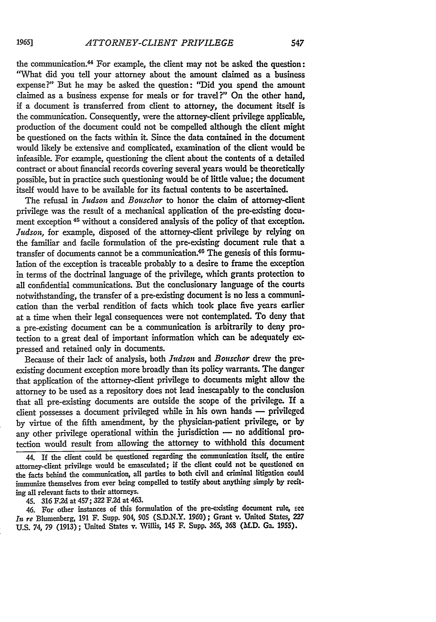the communication.<sup>44</sup> For example, the client may not be asked the question: "What did you tell your attorney about the amount claimed as a business expense?" But he may be asked the question: "Did you spend the amount claimed as a business expense for meals or for travel?" On the other hand, if a document is transferred from client to attorney, the document itself is the communication. Consequently, were the attorney-client privilege applicable, production of the document could not be compelled although the client might be questioned on the facts within it. Since the data contained in the document would likely be extensive and complicated, examination of the client would be infeasible. For example, questioning the client about the contents of a detailed contract or about financial records covering several years would be theoretically possible, but in practice such questioning would be of little value; the document itself would have to be available for its factual contents to be ascertained.

The refusal in *Judson and Bouschor* to honor the claim of attorney-client privilege was the result of a mechanical application of the pre-existing document exception <sup>45</sup> without a considered analysis of the policy of that exception. *Judson,* for example, disposed of the attorney-client privilege **by** relying on the familiar and facile formulation of the pre-existing document rule that a transfer of documents cannot be a communication 40 The genesis of this forniulation of the exception is traceable probably to a desire to frame the exception in terms of the doctrinal language of the privilege, which grants protection to all confidential communications. But the conclusionary language of the courts notwithstanding, the transfer of a pre-existing document is no less a communication than the verbal rendition of facts which took place five years earlier at a time when their legal consequences were not contemplated. To deny that a pre-existing document can be a communication is arbitrarily to deny protection to a great deal of important information which can be adequately expressed and retained only in documents.

Because of their lack of analysis, both *Judson and Bouschor* drew the preexisting document exception more broadly than its policy warrants. The danger that application of the attorney-client privilege to documents might allow the attorney to be used as a repository does not lead inescapably to the conclusion that all pre-existing documents are outside the scope of the privilege. If a client possesses a document privileged while in his own hands **-** privileged by virtue of the fifth amendment, by the physician-patient privilege, or **by** any other privilege operational within the jurisdiction - no additional protection would result from allowing the attorney to withhold this document

44. If the client could be questioned regarding the communication itself, the entire attorney-client privilege would be emasculated; if the client could not be questioned on the facts behind the communication, all parties to both civil and criminal litigation could immunize themselves from ever being compelled to testify about anything simply **by rect**ing all relevant facts to their attorneys.

45. **316** F.2d at 457; **322** F.2d at 463.

46. For other instances of this formulation of the pre-existing document rule, see *In* re Blumenberg, **191** F. Supp. 904, **905 (S.D.N.Y. 1960) ;** Grant v. United States, **227 U.S.** 74, **79 (1913) ;** United States v. Willis, 145 F. Supp. **365, 363** (ALD. Ga. **1955).**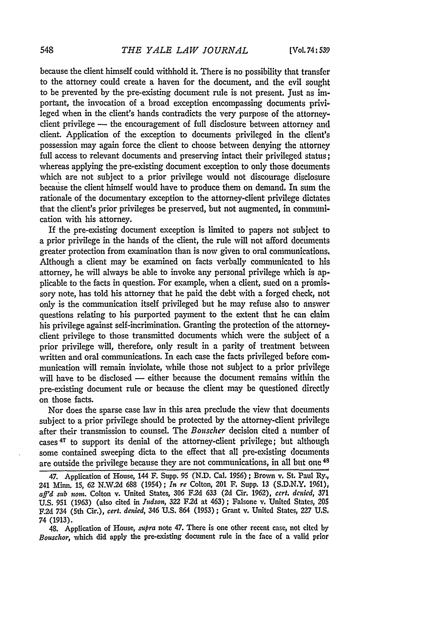because the client himself could withhold it. There is no possibility that transfer to the attorney could create a haven for the document, and the evil sought to be prevented by the pre-existing document rule is not present. Just as important, the invocation of a broad exception encompassing documents privileged when in the client's hands contradicts the very purpose of the attorneyclient privilege - the encouragement of full disclosure between attorney and client. Application of the exception to documents privileged in the client's possession may again force the client to choose between denying the attorney full access to relevant documents and preserving intact their privileged status; whereas applying the pre-existing document exception to only those documents which are not subject to a prior privilege would not discourage disclosure because the client himself would have to produce them on demand. In sum the rationale of the documentary exception to the attorney-client privilege dictates that the client's prior privileges be preserved, but not augmented, in communication with his attorney.

If the pre-existing document exception is limited to papers not subject to a prior privilege in the hands of the client, the rule will not afford documents greater protection from examination than is now given to oral communications, Although a client may be examined on facts verbally communicated to his attorney, **he** will always be able to invoke any personal privilege which is applicable to the facts in question. For example, when a client, sued on a promissory note, has told his attorney that he paid the debt with a forged check, not only is the communication itself privileged but he may refuse also to answer questions relating to his purported payment to the extent that he can claim his privilege against self-incrimination. Granting the protection of the attorneyclient privilege to those transmitted documents which were the subject of **a** prior privilege will, therefore, only result in a parity of treatment between written and oral communications. In each case the facts privileged before communication will remain inviolate, while those not subject to a prior privilege will have to be disclosed  $-$  either because the document remains within the pre-existing document rule or because the client may be questioned directly on those facts.

Nor does the sparse case law in this area preclude the view that documents subject to a prior privilege should be protected **by** the attorney-client privilege after their transmission to counsel. The *Bouscher* decision cited a number of cases 47 to support its denial of the attorney-client privilege; but although some contained sweeping dicta to the effect that all pre-existing documents are outside the privilege because they are not communications, in all but one <sup>48</sup>

48. Application of House, *supra* note 47. There is one other recent case, not cited **by** *Bouschor,* which did apply the pre-existing document rule in the face of a valid prior

<sup>47.</sup> Application of House, 144 F. Supp. **95 (N.D.** Cal. **1956);** Brown v. St. Paul Ry., 241 Minn. 15, 62 N.W.2d 688 (1954); *In re* Colton, 201 **F.** Supp. 13 (S.D.N.Y. 1961), *ard sub nom.* Colton v. United States, **306** F.2d **633 (2d** Cir. 1962), *cert. denied, 371* **U.S. 951** (1963) (also cited in *Judson,* **322 F.2d** at 463) ; Falsone v. United States, **205 F.2d** 734 (5th Cir.), *cert. denied,* 346 **U.S.** 864 **(1953);** Grant v. United States, 227 U.S. 74 (1913).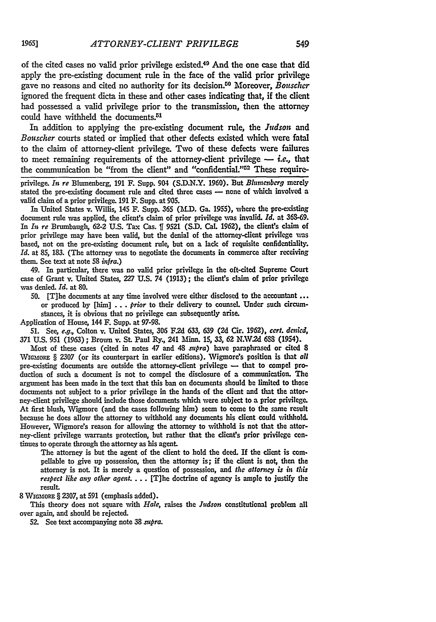of the cited cases no valid prior privilege existed.<sup>49</sup> And the one case that did apply the pre-existing document rule in the face of the valid prior privilege gave no reasons and cited no authority for its derision. 0 Moreover, *Bouschcr* ignored the frequent dicta in these and other cases indicating that, if the client had possessed a valid privilege prior to the transmission, then the attorney could have withheld the documents.<sup>51</sup>

In addition to applying the pre-existing document rule, the *Judson* and *Bouscher* courts stated or implied that other defects existed which were fatal to the claim of attorney-client privilege. Two of these defects were failures to meet remaining requirements of the attorney-client privilege  $-$  *i.e.*, that the communication be "from the client" and "confidential."<sup>52</sup> These require-

privilege. *In re* Blumenberg, 191 F. Supp. 904 (S.D.N.Y. 1960). But *Blumenberg* merely stated the pre-existing document rule and cited three cases **-** none of which involved a valid claim of a prior privilege. 191 F. Supp. at 905.

In United States v. *Willis,* 145 F. Supp. **365 (MNLD.** Ga. 1955), where the pre-existing document rule was applied, the client's claim of prior privilege was invalid. *Id.* at **36S-69.** In *In re* Brumbaugh, **62-2** U.S. Tax Cas. *1* **9521** (S.D. Cal. 1962), the client's claim of prior privilege may have been valid, but the denial of the attorney-client privilege was based, not on the pre-existing document rule, but on a lack of requisite confidentiaity. *Id.* at **85, 183.** (The attorney was to negotiate the documents in commerce after receiving them. See text at note **58** *infra.)*

49. In particular, there was no valid prior privilege in the oft-cited Supreme Court case of Grant v. United States, 227 U.S. 74 (1913); the client's claim of prior privilege was denied. *Id.* at **80.**

**50.** [T]he documents at any time involved were either disclosed to the accountant or produced by [him] ... *prior* to their delivery to counsel. Under such circumstances, it is obvious that no privilege can subsequently arise.

Application of House, 144 F. Supp. at **97-98.**

51. See, *e.g.,* Colton v. United States, **306 F.2d 633,** 639 **(2d** Cir. 1962), *cert. denied,* **371** U.S. **951** (1963) **;** Brown v. St. Paul Ry., 241 Minn. **15, 33,** 62 **N.NV.2d 683** (1954).

Most of these cases (cited in notes 47 and 48 *slpra)* have paraphrased or cited **8** WIGmORE § 2307 (or its counterpart in earlier editions). %Vigmore's position is that *all* pre-existing documents are outside the attorney-client privilege **-** that to compel production of such a document is not to compel the disclosure of a communication. The argument has been made in the text that this ban on documents should be limited to those documents not subject to a prior privilege in the hands of the client and that the attorney-client privilege should include those documents which were subject to a prior privilege. At first blush, Wigmore (and the cases following him) seem to come to the same result because he does allow the attorney to withhold any documents his client could withhold. However, Wigmore's reason for allowing the attorney to withhold is not that the attorney-client privilege warrants protection, but rather that the client's prior privilege continues to operate through the attorney as his agent.

The attorney is but the agent of the client to hold the deed. If the client is compellable to give up possession, then the attorney is; if the client is not, then the attorney is not. It is merely a question of possession, and *the attorney is in this respect like any other agent...* [T]he doctrine of agency is ample to justify the result.

**8 WmoMRE** § **2307,** at **591** (emphasis added).

This theory does not square with *Hale,* raises the *Judson* constitutional problem all over again, and should be rejected.

52. See text accompanying note **38** *supra.*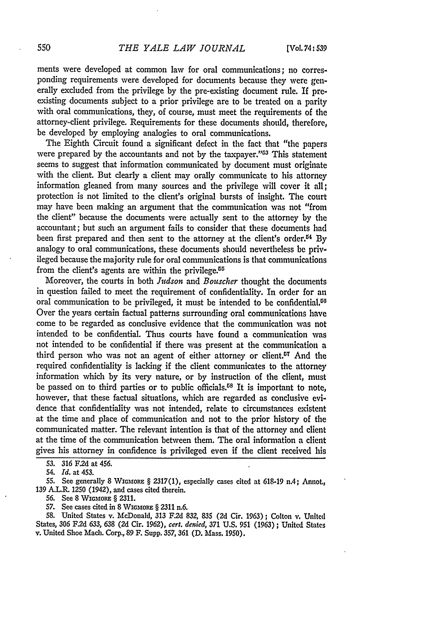ments were developed at common law for oral communications; no corresponding requirements were developed for documents because they were generally excluded from the privilege **by** the pre-existing document rule. If preexisting documents subject to a prior privilege are to be treated on a parity with oral communications, they, of course, must meet the requirements of the attorney-client privilege. Requirements for these documents should, therefore, be developed by employing analogies to oral communications.

The Eighth Circuit found a significant defect in the fact that "the papers were prepared by the accountants and not by the taxpayer."<sup>53</sup> This statement seems to suggest that information communicated by document must originate with the client. But clearly a client may orally communicate to his attorney information gleaned from many sources and the privilege will cover it **all;** protection is not limited to the client's original bursts of insight. The court may have been making an argument that the communication was not "from the client" because the documents were actually sent to the attorney by the accountant; but such an argument fails to consider that these documents had been first prepared and then sent to the attorney at the client's order.<sup>54</sup> By analogy to oral communications, these documents should nevertheless be privileged because the majority rule for oral communications is that communications from the client's agents are within the privilege.<sup>55</sup>

Moreover, the courts in both *Judson* and *Bouscher* thought the documents in question failed to meet the requirement of confidentiality. In order for an oral communication to be privileged, it must be intended to be confidential.<sup>60</sup> Over the years certain factual patterns surrounding oral communications have come to be regarded as conclusive evidence that the communication was not intended to be confidential. Thus courts have found a communication was not intended to be confidential if there was present at the communication a third person who was not an agent of either attorney or client.<sup>57</sup> And the required confidentiality is lacking if the client communicates to the attorney information which **by** its very nature, or **by** instruction of the client, must be passed on to third parties or to public officials.<sup> $58$ </sup> It is important to note, however, that these factual situations, which are regarded as conclusive evidence that confidentiality was not intended, relate to circumstances existent at the time and place of communication and not to the prior history of the communicated matter. The relevant intention is that of the attorney and client at the time of the communication between them. The oral information a client gives his attorney in confidence is privileged even if the client received his

55. See generally 8 WIGMoRE § 2317(1), especially cases cited at 618-19 n.4; Annot., 139 A.L.R. 1250 (1942), and cases cited therein.

58. United States v. McDonald, **313 F.2d** 832, 835 **(2d** Cir. 1963); Colton v. United States, 306 F.2d 633, 638 **(2d** Cir. 1962), *cert. denied,* 371 U.S. 951 (1963) **;** United States v. United Shoe Mach. Corp., 89 F. Supp. 357, 361 **(D.** Mass. 1950).

*<sup>53.</sup> 316* **F2d** at 456.

*<sup>54.</sup> Id.* at 453.

**<sup>56.</sup>** See 8 **WIGMORE** § 2311.

<sup>57.</sup> See cases cited in 8 **WIGMORE** § 2311 n.6.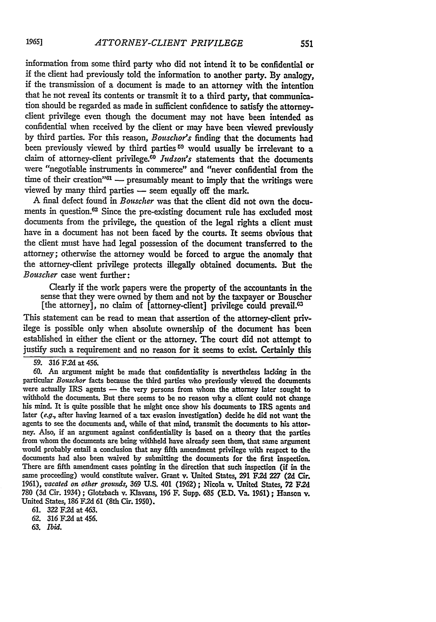information from some third party who did not intend it to be confidential or if the client had previously told the information to another party. By analogy, if the transmission of a document is made to an attorney with the intention that he not reveal its contents or transmit it to a third party, that communication should be regarded as made in sufficient confidence to satisfy the attorneyclient privilege even though the document may not have been intended as confidential when received by the client or may have been viewed previously by third parties. For this reason, *Bouschor's* finding that the documents had been previously viewed by third parties **69** would usually be irrelevant to a claim of attorney-client privilege.6 <sup>0</sup>*Judson's* statements that the documents were "negotiable instruments in commerce" and "never confidential from the time of their creation"<sup>61</sup> - presumably meant to imply that the writings were viewed by many third parties - seem equally off the mark.

**A** final defect found in *Bomscher* was that the client did not own the documents in question.62 Since the pre-existing document rule has excluded most documents from the privilege, the question of the legal rights a client must have in a document has not been faced **by** the courts. It seems obvious that the client must have had legal possession of the document transferred to the attorney; otherwise the attorney would be forced to argue the anomaly that the attorney-client privilege protects illegally obtained documents. But the *Bouscher* case went further:

Clearly if the work papers were the property of the accountants in the sense that they were owned **by** them and not **by** the taxpayer or Bouscher [the attorney], no claim of [attorney-client] privilege could prevail. $\mathfrak{G}$ 

This statement can be read to mean that assertion of the attorney-client privilege is possible only when absolute ownership of the document has been established in either the client or the attorney. The court did not attempt to justify such a requirement and no reason for it seems to exist. Certainly this

**59. 316 F.2d** at 456.

**60.** An argument might be made that confidentiality is nevertheless lacking in the particular *Bouschor* facts because the third parties who previously viewed the documents were actually IRS agents **-** the very persons from whom the attorney later sought to withhold the documents. But there seems to be no reason why a client could not change his mind. It is quite possible that he might once show his documents to IRS agents and later *(e.g,* after having learned of a tax evasion investigation) decide he did not want the agents to see the documents and, while of that mind, transmit the documents to his attorney. Also, **if** an argument against confidentiality is based on a theory that the parties from whom the documents are being withheld have already seen then, that same argument would probably entail a conclusion that any fifth amendment privilege with respect to the documents had also been waived **by** submitting the documents for the first inspection. There are fifth amendment cases pointing in the direction that such inspection (if in the same proceeding) would constitute waiver. Grant v. United States, **291 F.2d 227** (2d Cir. **1961),** *vacated on other grounds,* **369 U.S.** 401 **(1962);** Nicola v. United States, **72 F2d 780 (3d** Cir. 1934) ; Glotzbach v. Klavans, **196** F. Supp. **685 (E.D.** Va. **1961) ;** Hanson v. United States, **186 F.2d 61** (8th Cir. 1950).

**61. 322 F2d** at 463.

**62. 316 F.2d** at 456.

**63.** *Ibid.*